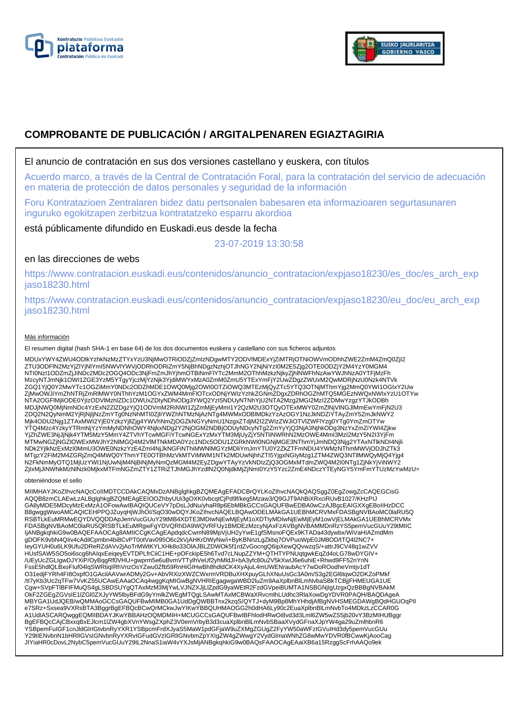



# **COMPROBANTE DE PUBLICACIÓN / ARGITALPENAREN EGIAZTAGIRIA**

### El anuncio de contratación en sus dos versiones castellano y euskera, con títulos

Acuerdo marco, a través de la Central de Contratación Foral, para la contratación del servicio de adecuación en materia de protección de datos personales y seguridad de la información

Foru Kontratazioen Zentralaren bidez datu pertsonalen babesaren eta informazioaren segurtasunaren inguruko egokitzapen zerbitzua kontratatzeko esparru akordioa

está públicamente difundido en Euskadi.eus desde la fecha

23-07-2019 13:30:58

# en las direcciones de webs

https://www.contratacion.euskadi.eus/contenidos/anuncio\_contratacion/expjaso18230/es\_doc/es\_arch\_exp jaso18230.html

https://www.contratacion.euskadi.eus/contenidos/anuncio\_contratacion/expjaso18230/eu\_doc/eu\_arch\_exp jaso18230.html

#### Más información

El resumen digital (hash SHA-1 en base 64) de los dos documentos euskera y castellano con sus ficheros adjuntos

MDUxYWY4ZWU4ODlkYzhkNzMzZTYxYzU3NjMwOTRiODZjZmIzNDgwMTY2ODVlMDExYjZiMTRjOTNiOWVmODhhZWE2ZmM4ZmQ0ZjI2 ZTU3ODFlN2MzYjZlYjNlYmI5NWVlYWVjODRhODRiZmY5NjBhNDgzNzhjOTJhNGY2NjNiYzI0M2E5Zjg2OTE0ODZjY2M4YzY0MGM4 NTI0NzI1ODZmZjJiNDc2MDc2OGQ4ODc3NjFmZmJhYjhmOTBiNmFlYTc2MmM2OThhMzkzNjkyZjhlNWFhNzAwYWJhNzA0YTFjMzFh<br>MzcyNTJmNjk1OWI1ZGE3YzM5YTgyYjczMjYzNjk3YjdiMWYxMzA0ZmM0ZmU5YTExYmFjY2UwZDgzZWUxM2QwMDRjNzU0Nzk4NTVk ZGQ1YjQ0Y2MwYTc1OGZiMmY0NDc2ODZhMDE1OWQ0Mjg2OWI0OTZiOWQ3MTEzMjQyZTc5YTQ3OTNjMThmYjg2MmQ0YWI1OGIxY2Uw<br>ZjMwOWJiYmZhNTRjZmRlMWY0NThhYzM1OGYxZWM4MmFlOTcxODNjYWIzYzhkZGNmZDgxZDRhOGZhMTQ5MGEzNWQxNWIxYzU1OTYw NTA2OGFlMjliODE0YjIzODVlMzhlZDc1OWUxZDIyNDhiODg3YWQ2YzI5NDUyNTNhYjU2NTA2Mzg2MGI2MzI2ZDMwYzgzYTJkODBh MDJjNWQ0MjNmNDc4YzExN2ZlZDgzYjQ1ODVmM2RiNWI1ZjZmMjEyMmI1Y2QzM2U3OTQyOTExMWY0ZmZlNjVlNGJlMmEwYmFjN2U3 ZDQ2N2QyNmM2YjRjNjijNzZmYTg0NzNhMTI0ZjiiYWZhNTMzNjAzNTg4MWMxODBIMDkzYzAzOGY1NzJkNDZiYTAyZmY5ZmJkNWY2<br>Mjk4ODU2Njg1ZTAxMWI2YjE0YzkzYjllZjg4YWVhNmZjOGZkNGYyNmU1NzgxZTdjM2I2ZWIzZWJiOTVlZWFIYzg0YTg0YmZmOTYw<br>YTQ4Mzc4YzkyYTRmNjYz MTMwNGZjNGZlOWExMWJhY2NlMGQ4M2VlMTNkMDA0Yzc1NDc5ODU1ZGRkNWI0NGNjMGE3NThmYjJmNDQ3Njg2YTAxNTlkNDI4Njli NDk2YjlkNzExMzI0MmU3OWE0NzkzYzE4ZmI4NjJkNGFiNThiMWNlMGYzMDliYmJmYTU0Y2ZkZTFmNDU4YWMzNThmMWVjODJhZTk3 MTgzY2FiM2M4ZGRjZmQ4MWQ0YThmYTE0OTBhMzVkMTViMWM1NTk2MDUwNjhhZTI5YjgxNGIyMzg1ZTM4ZWQ3NTllMWQyMjQ4Yjg4 N2FkNmMyOTQ1MjUzYWI1NjUwNjM4NjBiNjMyNmQzMGM4M2EyZDgwYTAyYzVkNDIzZjQ3OGMxMTdmZWQ4M2I0NTg1ZjNkYjViNWY2 ZjIxMjJiNWNkMzNlNzk0MjkxMTFmNGZmZTY1ZTRiZTJhMGJhYzdlN2Q0NjdkMjZjNmI0YzY5Yzc2ZmE4NDczYTEyNGY5YmFmYTUzMzYwMzU=

obteniéndose el sello

MIIMHAYJKoZIhvcNAQcCoIIMDTCCDAkCAQMxDzANBglghkgBZQMEAgEFADCBrQYLKoZIhvcNAQkQAQSggZ0EgZowgZcCAQEGCisG AQQB8zmCLAEwLzALBglghkgBZQMEAgEEIOOZhbyUUi3gOXK0vbcqtCjPd9f/keg5Mzaw3/Q9GJT9AhBiXRxciRUvB1027/KHzPIJ GA8yMDE5MDcyMzExMzA1OFowAwIBAQIQUCeVY7pDsLJdNu/yhaR8p6EbMBkGCCsGAQUFBwEDBA0wCzAJBgcEAIGXXgEBoIIHzDCC B8gwggWwoAMCAQICEHPPQJZuyqHjWJhOI/SqO30wDQYJKoZIhvcNAQELBQAwODELMAkGA1UEBhMCRVMxFDASBgNVBAoMC0IaRU5Q<br>RSBTLkEuMRMwEQYDVQQDDApJemVucGUuY29tMB4XDTE3MDIwNjEwMjEyM1oXDTIyMDIwNjEwMjEyM1owVjELMAkGA1UEBhMCRVMx<br>FDASBgNVBAoMC0IaRU5Q IjANBgkqhkiG9w0BAQEFAAOCAg8AMIICCqKCAqEApdqdcCwmN89MpVjUH2yYwE1gfSMsnoFQEx9KTADa43dywbx/WiVaHIAZmdMm gDOFK9vbN4QIiv4cAdilCpmbn4bi8CvPT0otVav095O6c2kVjAHKrDWyNw/i+ByKBNnzLgZkbq7OVPuoWpE0JM8OD/tTQ4l2NC7+ IeyGYUH0u6LK9Ufu2DReRZdAVv2jAoTrMWtKYLXHk8o33OlAJBLZDWOk5f1rdZvGocngQ6ipXewQQvwzqS/+attrJ9CV48q1wZVV HUsfSAW5SO5oi6scg6hAIqxEeiqeyEVTDPLfrCiiC1HE+pOFckipE5h6Tvd7cLNupZZYM+QTHTYPNUqtgwkEqZd4oLG78wDYGIV+ /UEyUcZGLIgwDJYXiP/OyBqgRf0VHU+gwprm5e6uBvmVTTylhVeUf2yhMldJl+bA3yfc80u2V5kXwIJ6e6uhiE+Rhwd9FF52nYnN FssE5hdlQLBxoFluf04lqSWRtiqIRhVnzOsYZwu0Zfb59RnHiGIHwBh8hdldCK4XyAjuL4mUWENraubAcY7wDoROodheVmtjv1dT<br>O31edjFYRh4Fl8OxpfO1GAcilAAVwrADMy2Gv+AbVRXizXWZCWxrmVRDBuXHXpuyGLhXNuUsGc3A0m/S3g2EGl6tqwO2DKZoPMkf<br>/tl7yKb3Uc2qTFw7VvKZ Cgw+SVpFTlBFIFMuQS4gLSBDSUYgQTAxMzM3MjYwLVJNZXJjLlZpdG9yaWEtR2FzdGVpeiBUMTA1NSBGNjIgUzgxQzBBBgNVBAkM OkF2ZGEgZGVsIE1lZGl0ZXJyYW5lbyBFdG9yYmlkZWEgMTQgLSAwMTAxMCBWaXRvcmlhLUdhc3RlaXowDgYDVR0PAQH/BAQDAgeA MBYGA1UdJQEB/wQMMAoGCCsGAQUFBwMIMB0GA1UdDgQWBBTnx2kzqS/QYTJ+dyM9Bp8MhYHhdjAfBgNVHSMEGDAWgBQdHGUOqPIl e7SRz+Sxsea9VXRsBTA3BggrBgEFBQcBCwQrMCkwJwYIKwYBBQUHMAOGG2h0dHA6Ly90c2EuaXplbnBlLmNvbTo4MDkzLzCCAR0G A1UdIASCARQwggEQMIIBDAYJKwYBBAHzOQMDMIH+MCUGCCsGAQUFBwIBFhlodHRwOi8vd3d3Lml6ZW5wZS5jb20vY3BzMIHUBggr BgEFBQcCAjCBxxqBxEJlcm1lZW4gbXVnYWsgZXphZ3V0emVrbyB3d3cuaXplbnBlLmNvbSBaaXVydGFnaXJpYW4ga29uZmlhbnR6 YSBpemFuIGF1cnJldGlrIGtvbnRyYXR1YSBpcmFrdXJyaS5MaW1pdGFjaW9uZXMgZGUgZ2FyYW50aWFzIGVuIHd3dy5pemVucGUu<br>Y29tIENvbnN1bHRIIGVsIGNvbnRyYXRvIGFudGVzIGRIIGNvbmZpYXIgZW4gZWwgY2VydGlmaWNhZG8wMwYDVR0fBCwwKjAooCag JIYiaHR0cDovL2NybC5pemVucGUuY29tL2NnaS1iaW4vYXJsMjANBgkqhkiG9w0BAQsFAAOCAgEAaiXB6a15RzggScFrhAAQo9ek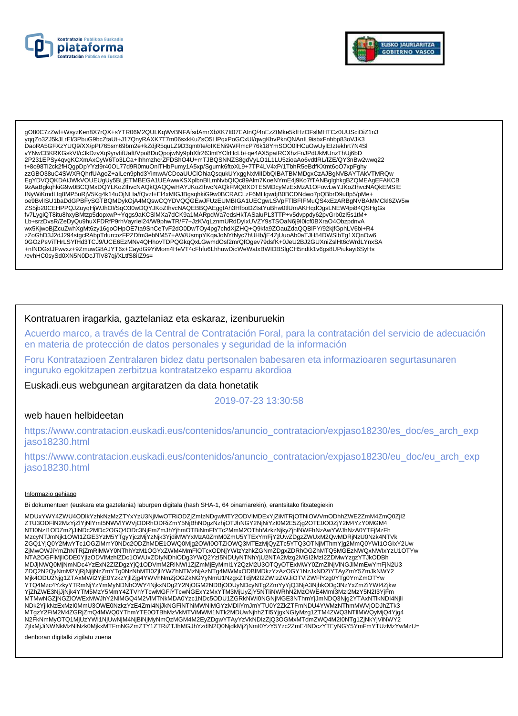



gO80C7zZwf+WsvzKen8X7rQX+sYTR06M2QULKgWvBNFAfsdAmrXbXK7It07EAInQ/4nEzZtMke5kfHzOFslMHTCz0UUSciDiZ1n3 vgqZo3ZJ5kJLrEI/3PbuG9bcZtaUt+J17QnyRAXK7T7m06sxkKuZsO5LlPqxPoGCxUl/qwqKhvPknQNAnIL9isbxFnhbp83oVJK3 DaoRA5GFXzYUQ9/XX/pPt765sm69bm2e+kZdjR5quLZ9D3qmt/te/oIKENi9WFlmcP76k18YmSOO0IHCuOwUyIEIztekhrt7N4Sl vYNwCBKRKGskVI/c3kDzvXq9yrvlifUaft/Vpo8DuQpojwNy9phXfr263mtYClrHcLb+qe4AX5patRCXhzFnJPdUkMUnzThUj6bD 2P231EPSy4qvgKCXmAxCyW6To3LCa+lhhmzhcrZFDShO4U+mTJBQSNNZS8gdVyLO1L1LU5zioaAo6vdtlRL/fZE/QY3nBw2wwq22 t+8o98Tl2ck2fHQgpDpYYzI9r40OL77d9R0muOnlTHbPumy1A5xp/Sgumk6ftoXL9+7TP4LV4xP/1TbhR5eBdfKXmt6oO7xpFghy zzGBO38uC4SWXRQhrfUAgoZ+aILen9phd3YimwA/CDoaUUCiOhiaQsqukUYxggNxMIIDbQIBATBMMDgxCzAJBgNVBAYTAkVTMRQw EgYDVQQKDAtJWkVOUEUgUy5BLjETMBEGA1UEAwwKSXplbnBlLmNvbQlQc89Alm7KoeNYmE4j9Ko7fTANBglghkgBZQMEAgEFAKCB 9zAaBgkqhkiG9w0BCQMxDQYLKoZIhvcNAQkQAQQwHAYJKoZIhvcNAQkFMQ8XDTE5MDcyMzExMzA1OFowLwYJKoZIhvcNAQkEMSIE INyWiKmdLIq8MP5uRjV5Kg4k14uOjNLIa/fQvzf+El4xMlGJBgsqhkiG9w0BCRACLzF6MHgwdjB0BCDNdwo7pQBbrD9u8p5/pMe+ oe9BvlISU1baDdGPBFySGTBQMDykOjA4MQswCQYDVQQGEwJFUzEUMBIGA1UECgwLSVpFTIBFIFMuQS4xEzARBgNVBAMMCkl6ZW5w ZS5jb20CEHPPQJZuyqHjWJhOl/SqO30wDQYJKoZIhvcNAQEBBQAEgglAh3HfboDZtstYuBhw0tlUmAKHqdOgsLNEW4pi84QSHgGs fv7LygiQT8itu8hxyBMtzp5dopxwP+Yqgs9aKCSIMXa7dCK9a1MARpdWa7edsHkTASaluPL3TTP+v5dvppdy62pvGrb0zl5s1tM+ Lb+srzDvsR/ZeDyQu9huXFDRfP9rhVayrlel24/W9phwTR/F7+JzKVqLznmURdDyIxUVZY9sTSOaN6j9l0icf0BXraO4ObzpdnvA wx5KjwoBjZcuZwhXgMt6zy16goOHpOE7ta9SnCeTvF2dO0DwTOy4pg7chdXjZHQ+Q9kfa9ZOauZdaQQBIPY/92kjfGphLV6bi+R4<br>zZoGhD3J2dJ294stgcRAbpTrlurcozFPZDfm3ebNM57+AW/UsmpYKqaJoNYtNyc7hUHb/jE4ZjUuoAb0aTJH54DWSlbTg1XQnOw6<br>0GOzPsViTHrLSYfHd3TC +nfNDGxtJFwvxz+9ZmuwG8AJYT6x+CaydG9YiMom4HeVT4cFhfu6LhhuwDicWeWalxBWIDBSlgCH5ndtk1v6qs8UPiukayi6SyHs /evhHC0sySd0XN5N0DcJTIV87qj/XLtfS8iIZ9s=

## Kontratuaren iragarkia, gaztelaniaz eta eskaraz, izenburuekin

Acuerdo marco, a través de la Central de Contratación Foral, para la contratación del servicio de adecuación en materia de protección de datos personales y seguridad de la información

Foru Kontratazioen Zentralaren bidez datu pertsonalen babesaren eta informazioaren segurtasunaren inguruko egokitzapen zerbitzua kontratatzeko esparru akordioa

Euskadi.eus webgunean argitaratzen da data honetatik

2019-07-23 13:30:58

#### web hauen helbideetan

https://www.contratacion.euskadi.eus/contenidos/anuncio\_contratacion/expjaso18230/es\_doc/es\_arch\_exp iaso18230.html

https://www.contratacion.euskadi.eus/contenidos/anuncio\_contratacion/expjaso18230/eu\_doc/eu\_arch\_exp jaso18230.html

#### Informazio gehiago

Bi dokumentuen (euskara eta gaztelania) laburpen digitala (hash SHA-1, 64 oinarriarekin), erantsitako fitxategiekin

MDUxYWY4ZWU4ODIkYzhkNzMzZTYxYzU3NiMwOTRiODZiZmIzNDawMTY2ODVIMDExYiZiMTRiOTNiOWVmODhhZWE2ZmM4ZmQ0Zil2 ZTU3ODFIN2MzYjZIYjNIYmI5NWVIYWVjODRhODRiZmY5NjBhNDqzNzhjOTJhNGY2NjNiYzI0M2E5Zjq2OTE0ODZjY2M4YzY0MGM4 NTI0NzI1ODZmZjJiNDc2MDc2OGQ4ODc3NjFmZmJhYjhmOTBiNmFlYTc2MmM2OThnMzkzNjkyZjhINWFhNzAwYWJhNzA0YTFjMzFh MzcyNTJmNjk1OWI1ZGE3YzM5YTgyYjczMjYzNjk3YjdiMWYxMzA0ZmM0ZmU5YTExYmFjY2UwZDgzZWUxM2QwMDRjNzU0Nzk4NTVk ZGQ1YjQ0Y2MwYTc1OGZiMmY0NDc2ODZhMDE1OWQ0Mjg2OWI0OTZiOWQ3MTEzMjQyZTc5YTQ3OTNjMThmYjg2MmQ0YWI1OGIxY2Uw ZjMwOWJiYmZhNTRjZmRIMWY0NThhYzM1OGYxZWM4MmFlOTcxODNjYWlzYzhkZGNmZDgxZDRhOGZhMTQ5MGEzNWQxNWlxYzU1OTYw 2002/07/interactive www.active.com/interactive/setter/interactive/setter/interactive/setter/interactive/setter/<br>MDJjNWQ0MjNmNDc4YzExN2ZiZDgzYjQ1ODVmM2RiNW11ZjZmMjEyMmI1Y2QzMZU3OTQyOTExMWY0ZmZlNjVlNGJlMmEwYmFjN2U3<br>ZDQ2N2QyN YTQ4Mzc4Y2kyYTRmNjYzYmMyNDNhOWY4NjkxNDg2Y2NjOGM2NDBjODŬyNDcyNTg2ZmYyYjQ3NjA3NjhkODg3NzYxZmZiYWI4Zjkw YjZhZWE3NjJjNjk4YTM5MzY5MmY4ZTVhYTcwMGFiYTcwNGExYzMxYTM3MjUyZjY5NTIiNWRhN2MzOWE4Mml3MzI2MzY5N2I3YjFm MTMwNGZjŃGZIOWExMWJhY2NIMGQ4M2VIMTNkMDA0Yzc1NDc5ODU1ZGRKNWI0NGNjMGE3NThmYjJmNDQ3Njg2YTAxNTlkNDI4Njli NDk2YjlkNzExMzI0MmU3OWE0NzkzYzE4Zml4NjJkNGFiNThiMWNIMGYzMDliYmJmYTU0Y2ZkZTFmNDU4YWMzNThmMWVjODJhZTk3 ZjixMjJiNWNkMzNlNzk0MjkxMTFmNGZmZTY1ZTRiZTJhMGJhYzdlN2Q0NjdkMjZjNml0YzY5Yzc2ZmE4NDczYTEyNGY5YmFmYTUzMzYwMzU=

denboran digitalki zigilatu zuena